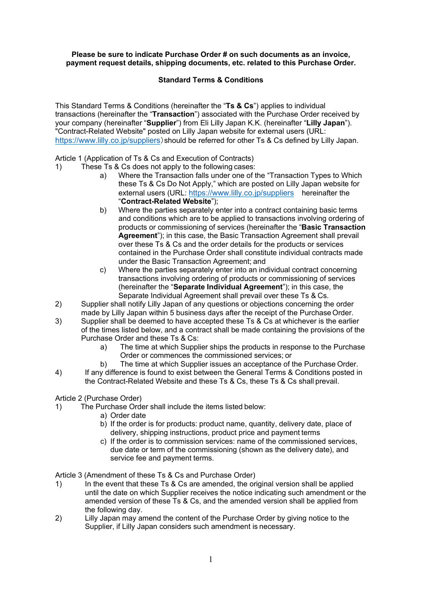### **Please be sure to indicate Purchase Order # on such documents as an invoice, payment request details, shipping documents, etc. related to this Purchase Order.**

# **Standard Terms & Conditions**

This Standard Terms & Conditions (hereinafter the "**Ts & Cs**") applies to individual transactions (hereinafter the "**Transaction**") associated with the Purchase Order received by your company (hereinafter "**Supplier**") from Eli Lilly Japan K.K. (hereinafter "**Lilly Japan**"). "Contract-Related Website" posted on Lilly Japan website for external users (URL: <https://www.lilly.co.jp/suppliers>)should be referred for other Ts & Cs defined by Lilly Japan.

# Article 1 (Application of Ts & Cs and Execution of Contracts)

- 1) These Ts & Cs does not apply to the following cases:
	- a) Where the Transaction falls under one of the "Transaction Types to Which these Ts & Cs Do Not Apply," which are posted on Lilly Japan website for external users (URL:<https://www.lilly.co.jp/suppliers> hereinafter the "**Contract-Related Website**");
	- b) Where the parties separately enter into a contract containing basic terms and conditions which are to be applied to transactions involving ordering of products or commissioning of services (hereinafter the "**Basic Transaction Agreement**"); in this case, the Basic Transaction Agreement shall prevail over these Ts & Cs and the order details for the products or services contained in the Purchase Order shall constitute individual contracts made under the Basic Transaction Agreement; and
	- c) Where the parties separately enter into an individual contract concerning transactions involving ordering of products or commissioning of services (hereinafter the "**Separate Individual Agreement**"); in this case, the Separate Individual Agreement shall prevail over these Ts & Cs.
- 2) Supplier shall notify Lilly Japan of any questions or objections concerning the order made by Lilly Japan within 5 business days after the receipt of the Purchase Order.
- 3) Supplier shall be deemed to have accepted these Ts & Cs at whichever is the earlier of the times listed below, and a contract shall be made containing the provisions of the Purchase Order and these Ts & Cs:
	- a) The time at which Supplier ships the products in response to the Purchase Order or commences the commissioned services; or
	- b) The time at which Supplier issues an acceptance of the Purchase Order.
- 4) If any difference is found to exist between the General Terms & Conditions posted in the Contract-Related Website and these Ts & Cs, these Ts & Cs shall prevail.

# Article 2 (Purchase Order)<br>1) The Purchase Orde

- The Purchase Order shall include the items listed below:
	- a) Order date
		- b) If the order is for products: product name, quantity, delivery date, place of delivery, shipping instructions, product price and payment terms
		- c) If the order is to commission services: name of the commissioned services, due date or term of the commissioning (shown as the delivery date), and service fee and payment terms.

Article 3 (Amendment of these Ts & Cs and Purchase Order)

- 1) In the event that these Ts & Cs are amended, the original version shall be applied until the date on which Supplier receives the notice indicating such amendment or the amended version of these Ts & Cs, and the amended version shall be applied from the following day.
- 2) Lilly Japan may amend the content of the Purchase Order by giving notice to the Supplier, if Lilly Japan considers such amendment is necessary.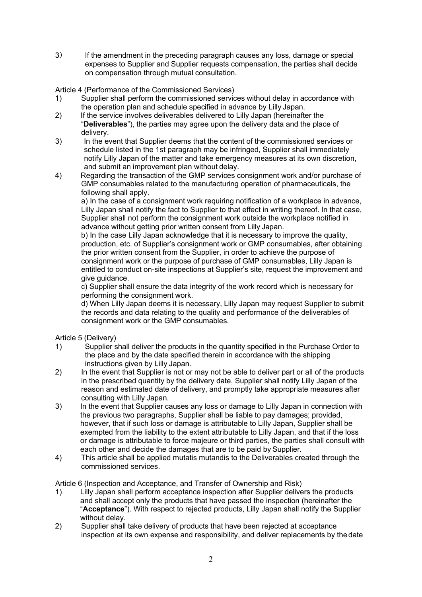3) If the amendment in the preceding paragraph causes any loss, damage or special expenses to Supplier and Supplier requests compensation, the parties shall decide on compensation through mutual consultation.

Article 4 (Performance of the Commissioned Services)

- 1) Supplier shall perform the commissioned services without delay in accordance with the operation plan and schedule specified in advance by Lilly Japan.
- 2) If the service involves deliverables delivered to Lilly Japan (hereinafter the "**Deliverables**"), the parties may agree upon the delivery data and the place of delivery.
- 3) In the event that Supplier deems that the content of the commissioned services or schedule listed in the 1st paragraph may be infringed, Supplier shall immediately notify Lilly Japan of the matter and take emergency measures at its own discretion, and submit an improvement plan without delay.
- 4) Regarding the transaction of the GMP services consignment work and/or purchase of GMP consumables related to the manufacturing operation of pharmaceuticals, the following shall apply.

a) In the case of a consignment work requiring notification of a workplace in advance, Lilly Japan shall notify the fact to Supplier to that effect in writing thereof. In that case, Supplier shall not perform the consignment work outside the workplace notified in advance without getting prior written consent from Lilly Japan.

b) In the case Lilly Japan acknowledge that it is necessary to improve the quality, production, etc. of Supplier's consignment work or GMP consumables, after obtaining the prior written consent from the Supplier, in order to achieve the purpose of consignment work or the purpose of purchase of GMP consumables, Lilly Japan is entitled to conduct on-site inspections at Supplier's site, request the improvement and give guidance.

c) Supplier shall ensure the data integrity of the work record which is necessary for performing the consignment work.

d) When Lilly Japan deems it is necessary, Lilly Japan may request Supplier to submit the records and data relating to the quality and performance of the deliverables of consignment work or the GMP consumables.

Article 5 (Delivery)

- 1) Supplier shall deliver the products in the quantity specified in the Purchase Order to the place and by the date specified therein in accordance with the shipping instructions given by Lilly Japan.
- 2) In the event that Supplier is not or may not be able to deliver part or all of the products in the prescribed quantity by the delivery date, Supplier shall notify Lilly Japan of the reason and estimated date of delivery, and promptly take appropriate measures after consulting with Lilly Japan.
- 3) In the event that Supplier causes any loss or damage to Lilly Japan in connection with the previous two paragraphs, Supplier shall be liable to pay damages; provided, however, that if such loss or damage is attributable to Lilly Japan, Supplier shall be exempted from the liability to the extent attributable to Lilly Japan, and that if the loss or damage is attributable to force majeure or third parties, the parties shall consult with each other and decide the damages that are to be paid by Supplier.
- 4) This article shall be applied mutatis mutandis to the Deliverables created through the commissioned services.

Article 6 (Inspection and Acceptance, and Transfer of Ownership and Risk)

- 1) Lilly Japan shall perform acceptance inspection after Supplier delivers the products and shall accept only the products that have passed the inspection (hereinafter the "**Acceptance**"). With respect to rejected products, Lilly Japan shall notify the Supplier without delay.
- 2) Supplier shall take delivery of products that have been rejected at acceptance inspection at its own expense and responsibility, and deliver replacements by the date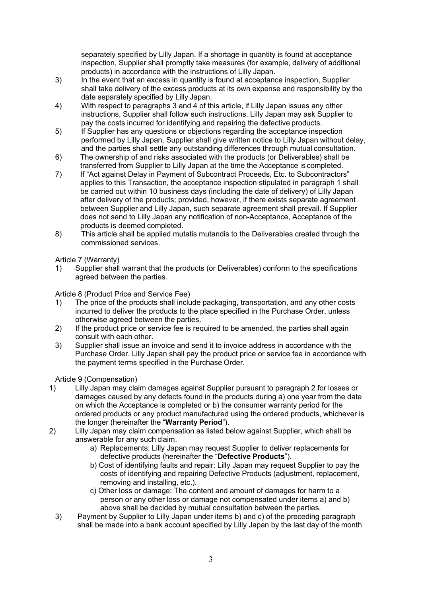separately specified by Lilly Japan. If a shortage in quantity is found at acceptance inspection, Supplier shall promptly take measures (for example, delivery of additional products) in accordance with the instructions of Lilly Japan.

- 3) In the event that an excess in quantity is found at acceptance inspection, Supplier shall take delivery of the excess products at its own expense and responsibility by the date separately specified by Lilly Japan.
- 4) With respect to paragraphs 3 and 4 of this article, if Lilly Japan issues any other instructions, Supplier shall follow such instructions. Lilly Japan may ask Supplier to pay the costs incurred for identifying and repairing the defective products.
- 5) If Supplier has any questions or objections regarding the acceptance inspection performed by Lilly Japan, Supplier shall give written notice to Lilly Japan without delay, and the parties shall settle any outstanding differences through mutual consultation.
- 6) The ownership of and risks associated with the products (or Deliverables) shall be transferred from Supplier to Lilly Japan at the time the Acceptance is completed.
- 7) If "Act against Delay in Payment of Subcontract Proceeds, Etc. to Subcontractors" applies to this Transaction, the acceptance inspection stipulated in paragraph 1 shall be carried out within 10 business days (including the date of delivery) of Lilly Japan after delivery of the products; provided, however, if there exists separate agreement between Supplier and Lilly Japan, such separate agreement shall prevail. If Supplier does not send to Lilly Japan any notification of non-Acceptance, Acceptance of the products is deemed completed.
- 8) This article shall be applied mutatis mutandis to the Deliverables created through the commissioned services.

Article 7 (Warranty)

1) Supplier shall warrant that the products (or Deliverables) conform to the specifications agreed between the parties.

Article 8 (Product Price and Service Fee)

- 1) The price of the products shall include packaging, transportation, and any other costs incurred to deliver the products to the place specified in the Purchase Order, unless otherwise agreed between the parties.
- 2) If the product price or service fee is required to be amended, the parties shall again consult with each other.
- 3) Supplier shall issue an invoice and send it to invoice address in accordance with the Purchase Order. Lilly Japan shall pay the product price or service fee in accordance with the payment terms specified in the Purchase Order.

Article 9 (Compensation)

- 1) Lilly Japan may claim damages against Supplier pursuant to paragraph 2 for losses or damages caused by any defects found in the products during a) one year from the date on which the Acceptance is completed or b) the consumer warranty period for the ordered products or any product manufactured using the ordered products, whichever is the longer (hereinafter the "**Warranty Period**").
- 2) Lilly Japan may claim compensation as listed below against Supplier, which shall be answerable for any such claim.
	- a) Replacements: Lilly Japan may request Supplier to deliver replacements for defective products (hereinafter the "**Defective Products**").
	- b) Cost of identifying faults and repair: Lilly Japan may request Supplier to pay the costs of identifying and repairing Defective Products (adjustment, replacement, removing and installing, etc.).
	- c) Other loss or damage: The content and amount of damages for harm to a person or any other loss or damage not compensated under items a) and b) above shall be decided by mutual consultation between the parties.
	- 3) Payment by Supplier to Lilly Japan under items b) and c) of the preceding paragraph shall be made into a bank account specified by Lilly Japan by the last day of the month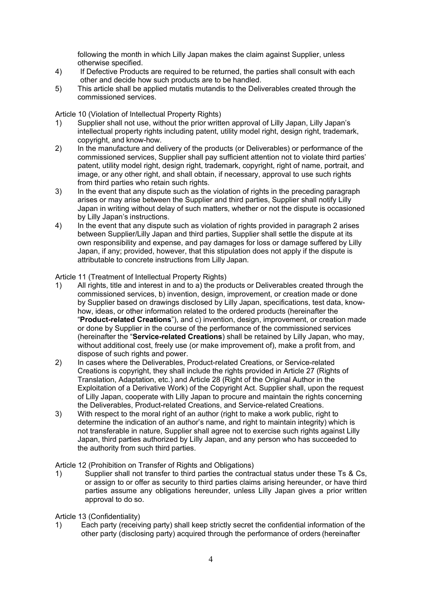following the month in which Lilly Japan makes the claim against Supplier, unless otherwise specified.

- 4) If Defective Products are required to be returned, the parties shall consult with each other and decide how such products are to be handled.
- 5) This article shall be applied mutatis mutandis to the Deliverables created through the commissioned services.

Article 10 (Violation of Intellectual Property Rights)

- 1) Supplier shall not use, without the prior written approval of Lilly Japan, Lilly Japan's intellectual property rights including patent, utility model right, design right, trademark, copyright, and know-how.
- 2) In the manufacture and delivery of the products (or Deliverables) or performance of the commissioned services, Supplier shall pay sufficient attention not to violate third parties' patent, utility model right, design right, trademark, copyright, right of name, portrait, and image, or any other right, and shall obtain, if necessary, approval to use such rights from third parties who retain such rights.
- 3) In the event that any dispute such as the violation of rights in the preceding paragraph arises or may arise between the Supplier and third parties, Supplier shall notify Lilly Japan in writing without delay of such matters, whether or not the dispute is occasioned by Lilly Japan's instructions.
- 4) In the event that any dispute such as violation of rights provided in paragraph 2 arises between Supplier/Lilly Japan and third parties, Supplier shall settle the dispute at its own responsibility and expense, and pay damages for loss or damage suffered by Lilly Japan, if any; provided, however, that this stipulation does not apply if the dispute is attributable to concrete instructions from Lilly Japan.

Article 11 (Treatment of Intellectual Property Rights)

- 1) All rights, title and interest in and to a) the products or Deliverables created through the commissioned services, b) invention, design, improvement, or creation made or done by Supplier based on drawings disclosed by Lilly Japan, specifications, test data, knowhow, ideas, or other information related to the ordered products (hereinafter the "**Product-related Creations**"), and c) invention, design, improvement, or creation made or done by Supplier in the course of the performance of the commissioned services (hereinafter the "**Service-related Creations**) shall be retained by Lilly Japan, who may, without additional cost, freely use (or make improvement of), make a profit from, and dispose of such rights and power.
- 2) In cases where the Deliverables, Product-related Creations, or Service-related Creations is copyright, they shall include the rights provided in Article 27 (Rights of Translation, Adaptation, etc.) and Article 28 (Right of the Original Author in the Exploitation of a Derivative Work) of the Copyright Act. Supplier shall, upon the request of Lilly Japan, cooperate with Lilly Japan to procure and maintain the rights concerning the Deliverables, Product-related Creations, and Service-related Creations.
- 3) With respect to the moral right of an author (right to make a work public, right to determine the indication of an author's name, and right to maintain integrity) which is not transferable in nature, Supplier shall agree not to exercise such rights against Lilly Japan, third parties authorized by Lilly Japan, and any person who has succeeded to the authority from such third parties.

Article 12 (Prohibition on Transfer of Rights and Obligations)

1) Supplier shall not transfer to third parties the contractual status under these Ts & Cs, or assign to or offer as security to third parties claims arising hereunder, or have third parties assume any obligations hereunder, unless Lilly Japan gives a prior written approval to do so.

Article 13 (Confidentiality)

1) Each party (receiving party) shall keep strictly secret the confidential information of the other party (disclosing party) acquired through the performance of orders (hereinafter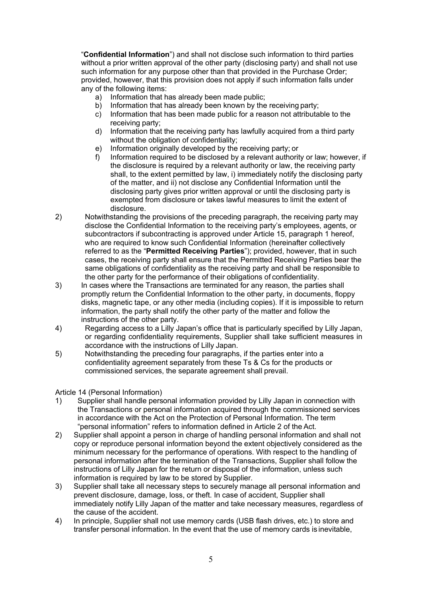"**Confidential Information**") and shall not disclose such information to third parties without a prior written approval of the other party (disclosing party) and shall not use such information for any purpose other than that provided in the Purchase Order; provided, however, that this provision does not apply if such information falls under any of the following items:

- a) Information that has already been made public;
- b) Information that has already been known by the receiving party;
- c) Information that has been made public for a reason not attributable to the receiving party;
- d) Information that the receiving party has lawfully acquired from a third party without the obligation of confidentiality:
- e) Information originally developed by the receiving party; or
- f) Information required to be disclosed by a relevant authority or law; however, if the disclosure is required by a relevant authority or law, the receiving party shall, to the extent permitted by law, i) immediately notify the disclosing party of the matter, and ii) not disclose any Confidential Information until the disclosing party gives prior written approval or until the disclosing party is exempted from disclosure or takes lawful measures to limit the extent of disclosure.
- 2) Notwithstanding the provisions of the preceding paragraph, the receiving party may disclose the Confidential Information to the receiving party's employees, agents, or subcontractors if subcontracting is approved under Article 15, paragraph 1 hereof, who are required to know such Confidential Information (hereinafter collectively referred to as the "**Permitted Receiving Parties**"); provided, however, that in such cases, the receiving party shall ensure that the Permitted Receiving Parties bear the same obligations of confidentiality as the receiving party and shall be responsible to the other party for the performance of their obligations of confidentiality.
- 3) In cases where the Transactions are terminated for any reason, the parties shall promptly return the Confidential Information to the other party, in documents, floppy disks, magnetic tape, or any other media (including copies). If it is impossible to return information, the party shall notify the other party of the matter and follow the instructions of the other party.
- 4) Regarding access to a Lilly Japan's office that is particularly specified by Lilly Japan, or regarding confidentiality requirements, Supplier shall take sufficient measures in accordance with the instructions of Lilly Japan.
- 5) Notwithstanding the preceding four paragraphs, if the parties enter into a confidentiality agreement separately from these Ts & Cs for the products or commissioned services, the separate agreement shall prevail.

Article 14 (Personal Information)

- 1) Supplier shall handle personal information provided by Lilly Japan in connection with the Transactions or personal information acquired through the commissioned services in accordance with the Act on the Protection of Personal Information. The term "personal information" refers to information defined in Article 2 of the Act.
- 2) Supplier shall appoint a person in charge of handling personal information and shall not copy or reproduce personal information beyond the extent objectively considered as the minimum necessary for the performance of operations. With respect to the handling of personal information after the termination of the Transactions, Supplier shall follow the instructions of Lilly Japan for the return or disposal of the information, unless such information is required by law to be stored by Supplier.
- 3) Supplier shall take all necessary steps to securely manage all personal information and prevent disclosure, damage, loss, or theft. In case of accident, Supplier shall immediately notify Lilly Japan of the matter and take necessary measures, regardless of the cause of the accident.
- 4) In principle, Supplier shall not use memory cards (USB flash drives, etc.) to store and transfer personal information. In the event that the use of memory cards is inevitable,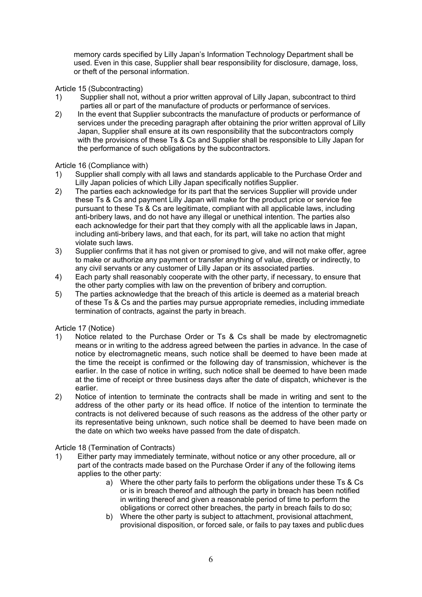memory cards specified by Lilly Japan's Information Technology Department shall be used. Even in this case, Supplier shall bear responsibility for disclosure, damage, loss, or theft of the personal information.

Article 15 (Subcontracting)

- 1) Supplier shall not, without a prior written approval of Lilly Japan, subcontract to third parties all or part of the manufacture of products or performance of services.
- 2) In the event that Supplier subcontracts the manufacture of products or performance of services under the preceding paragraph after obtaining the prior written approval of Lilly Japan, Supplier shall ensure at its own responsibility that the subcontractors comply with the provisions of these Ts & Cs and Supplier shall be responsible to Lilly Japan for the performance of such obligations by the subcontractors.

# Article 16 (Compliance with)

- 1) Supplier shall comply with all laws and standards applicable to the Purchase Order and Lilly Japan policies of which Lilly Japan specifically notifies Supplier.
- 2) The parties each acknowledge for its part that the services Supplier will provide under these Ts & Cs and payment Lilly Japan will make for the product price or service fee pursuant to these Ts & Cs are legitimate, compliant with all applicable laws, including anti-bribery laws, and do not have any illegal or unethical intention. The parties also each acknowledge for their part that they comply with all the applicable laws in Japan, including anti-bribery laws, and that each, for its part, will take no action that might violate such laws.
- 3) Supplier confirms that it has not given or promised to give, and will not make offer, agree to make or authorize any payment or transfer anything of value, directly or indirectly, to any civil servants or any customer of Lilly Japan or its associated parties.
- 4) Each party shall reasonably cooperate with the other party, if necessary, to ensure that the other party complies with law on the prevention of bribery and corruption.
- 5) The parties acknowledge that the breach of this article is deemed as a material breach of these Ts & Cs and the parties may pursue appropriate remedies, including immediate termination of contracts, against the party in breach.

Article 17 (Notice)

- 1) Notice related to the Purchase Order or Ts & Cs shall be made by electromagnetic means or in writing to the address agreed between the parties in advance. In the case of notice by electromagnetic means, such notice shall be deemed to have been made at the time the receipt is confirmed or the following day of transmission, whichever is the earlier. In the case of notice in writing, such notice shall be deemed to have been made at the time of receipt or three business days after the date of dispatch, whichever is the earlier.
- 2) Notice of intention to terminate the contracts shall be made in writing and sent to the address of the other party or its head office. If notice of the intention to terminate the contracts is not delivered because of such reasons as the address of the other party or its representative being unknown, such notice shall be deemed to have been made on the date on which two weeks have passed from the date of dispatch.

Article 18 (Termination of Contracts)

- 1) Either party may immediately terminate, without notice or any other procedure, all or part of the contracts made based on the Purchase Order if any of the following items applies to the other party:
	- a) Where the other party fails to perform the obligations under these Ts & Cs or is in breach thereof and although the party in breach has been notified in writing thereof and given a reasonable period of time to perform the obligations or correct other breaches, the party in breach fails to do so;
	- b) Where the other party is subject to attachment, provisional attachment, provisional disposition, or forced sale, or fails to pay taxes and public dues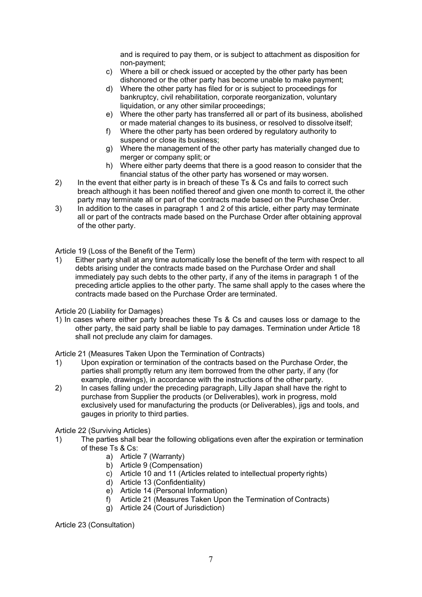and is required to pay them, or is subject to attachment as disposition for non-payment;

- c) Where a bill or check issued or accepted by the other party has been dishonored or the other party has become unable to make payment;
- d) Where the other party has filed for or is subject to proceedings for bankruptcy, civil rehabilitation, corporate reorganization, voluntary liquidation, or any other similar proceedings;
- e) Where the other party has transferred all or part of its business, abolished or made material changes to its business, or resolved to dissolve itself;
- f) Where the other party has been ordered by regulatory authority to suspend or close its business;
- g) Where the management of the other party has materially changed due to merger or company split; or
- h) Where either party deems that there is a good reason to consider that the financial status of the other party has worsened or may worsen.
- 2) In the event that either party is in breach of these Ts & Cs and fails to correct such breach although it has been notified thereof and given one month to correct it, the other party may terminate all or part of the contracts made based on the Purchase Order.
- 3) In addition to the cases in paragraph 1 and 2 of this article, either party may terminate all or part of the contracts made based on the Purchase Order after obtaining approval of the other party.

# Article 19 (Loss of the Benefit of the Term)

1) Either party shall at any time automatically lose the benefit of the term with respect to all debts arising under the contracts made based on the Purchase Order and shall immediately pay such debts to the other party, if any of the items in paragraph 1 of the preceding article applies to the other party. The same shall apply to the cases where the contracts made based on the Purchase Order are terminated.

#### Article 20 (Liability for Damages)

1) In cases where either party breaches these Ts & Cs and causes loss or damage to the other party, the said party shall be liable to pay damages. Termination under Article 18 shall not preclude any claim for damages.

#### Article 21 (Measures Taken Upon the Termination of Contracts)

- 1) Upon expiration or termination of the contracts based on the Purchase Order, the parties shall promptly return any item borrowed from the other party, if any (for example, drawings), in accordance with the instructions of the other party.
- 2) In cases falling under the preceding paragraph, Lilly Japan shall have the right to purchase from Supplier the products (or Deliverables), work in progress, mold exclusively used for manufacturing the products (or Deliverables), jigs and tools, and gauges in priority to third parties.

#### Article 22 (Surviving Articles)

- 1) The parties shall bear the following obligations even after the expiration or termination of these Ts & Cs:
	- a) Article 7 (Warranty)
	- b) Article 9 (Compensation)
	- c) Article 10 and 11 (Articles related to intellectual property rights)
	- d) Article 13 (Confidentiality)
	- e) Article 14 (Personal Information)
	- f) Article 21 (Measures Taken Upon the Termination of Contracts)
	- g) Article 24 (Court of Jurisdiction)

Article 23 (Consultation)